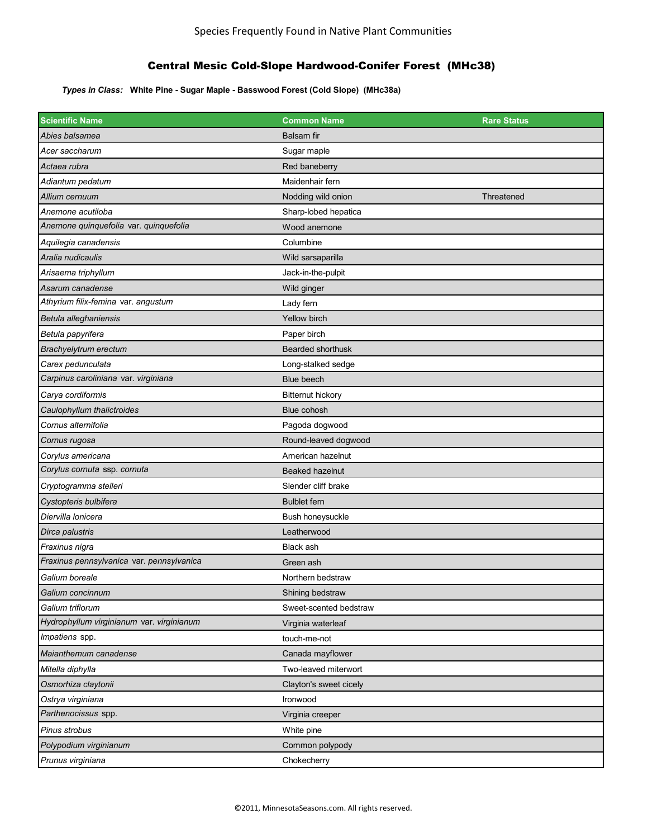## Central Mesic Cold-Slope Hardwood-Conifer Forest (MHc38)

*Types in Class:* **White Pine - Sugar Maple - Basswood Forest (Cold Slope) (MHc38a)**

| <b>Scientific Name</b>                    | <b>Common Name</b>       | <b>Rare Status</b> |
|-------------------------------------------|--------------------------|--------------------|
| Abies balsamea                            | <b>Balsam</b> fir        |                    |
| Acer saccharum                            | Sugar maple              |                    |
| Actaea rubra                              | Red baneberry            |                    |
| Adiantum pedatum                          | Maidenhair fern          |                    |
| Allium cernuum                            | Nodding wild onion       | Threatened         |
| Anemone acutiloba                         | Sharp-lobed hepatica     |                    |
| Anemone quinquefolia var. quinquefolia    | Wood anemone             |                    |
| Aquilegia canadensis                      | Columbine                |                    |
| Aralia nudicaulis                         | Wild sarsaparilla        |                    |
| Arisaema triphyllum                       | Jack-in-the-pulpit       |                    |
| Asarum canadense                          | Wild ginger              |                    |
| Athyrium filix-femina var. angustum       | Lady fern                |                    |
| Betula alleghaniensis                     | Yellow birch             |                    |
| Betula papyrifera                         | Paper birch              |                    |
| Brachyelytrum erectum                     | Bearded shorthusk        |                    |
| Carex pedunculata                         | Long-stalked sedge       |                    |
| Carpinus caroliniana var. virginiana      | <b>Blue beech</b>        |                    |
| Carya cordiformis                         | <b>Bitternut hickory</b> |                    |
| Caulophyllum thalictroides                | Blue cohosh              |                    |
| Cornus alternifolia                       | Pagoda dogwood           |                    |
| Cornus rugosa                             | Round-leaved dogwood     |                    |
| Corylus americana                         | American hazelnut        |                    |
| Corylus cornuta ssp. cornuta              | Beaked hazelnut          |                    |
| Cryptogramma stelleri                     | Slender cliff brake      |                    |
| Cystopteris bulbifera                     | <b>Bulblet fern</b>      |                    |
| Diervilla Ionicera                        | Bush honeysuckle         |                    |
| Dirca palustris                           | Leatherwood              |                    |
| Fraxinus nigra                            | Black ash                |                    |
| Fraxinus pennsylvanica var. pennsylvanica | Green ash                |                    |
| Galium boreale                            | Northern bedstraw        |                    |
| Galium concinnum                          | Shining bedstraw         |                    |
| Galium triflorum                          | Sweet-scented bedstraw   |                    |
| Hydrophyllum virginianum var. virginianum | Virginia waterleaf       |                    |
| Impatiens spp.                            | touch-me-not             |                    |
| Maianthemum canadense                     | Canada mayflower         |                    |
| Mitella diphylla                          | Two-leaved miterwort     |                    |
| Osmorhiza claytonii                       | Clayton's sweet cicely   |                    |
| Ostrya virginiana                         | Ironwood                 |                    |
| Parthenocissus spp.                       | Virginia creeper         |                    |
| Pinus strobus                             | White pine               |                    |
| Polypodium virginianum                    | Common polypody          |                    |
| Prunus virginiana                         | Chokecherry              |                    |